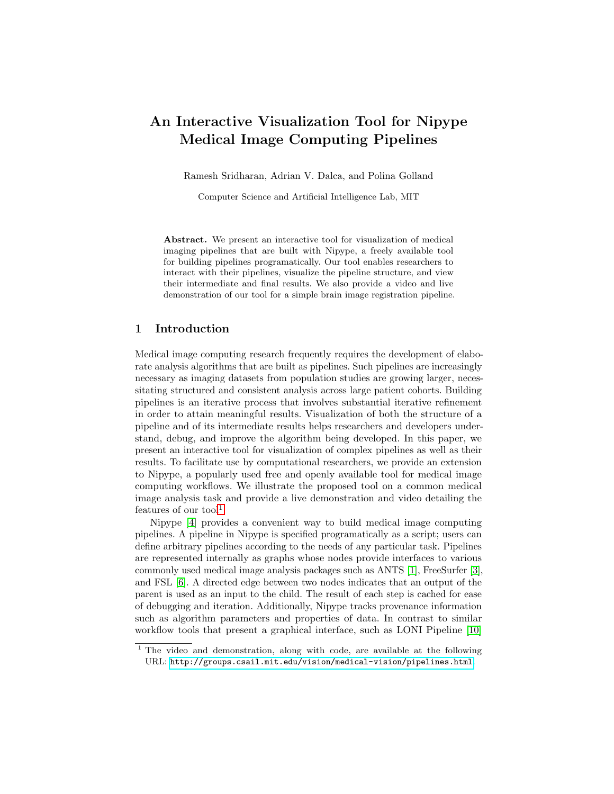# <span id="page-0-0"></span>An Interactive Visualization Tool for Nipype Medical Image Computing Pipelines

Ramesh Sridharan, Adrian V. Dalca, and Polina Golland

Computer Science and Artificial Intelligence Lab, MIT

Abstract. We present an interactive tool for visualization of medical imaging pipelines that are built with Nipype, a freely available tool for building pipelines programatically. Our tool enables researchers to interact with their pipelines, visualize the pipeline structure, and view their intermediate and final results. We also provide a video and live demonstration of our tool for a simple brain image registration pipeline.

## 1 Introduction

Medical image computing research frequently requires the development of elaborate analysis algorithms that are built as pipelines. Such pipelines are increasingly necessary as imaging datasets from population studies are growing larger, necessitating structured and consistent analysis across large patient cohorts. Building pipelines is an iterative process that involves substantial iterative refinement in order to attain meaningful results. Visualization of both the structure of a pipeline and of its intermediate results helps researchers and developers understand, debug, and improve the algorithm being developed. In this paper, we present an interactive tool for visualization of complex pipelines as well as their results. To facilitate use by computational researchers, we provide an extension to Nipype, a popularly used free and openly available tool for medical image computing workflows. We illustrate the proposed tool on a common medical image analysis task and provide a live demonstration and video detailing the features of our  $\mathrm{tool}^1$ .

Nipype [\[4\]](#page-4-0) provides a convenient way to build medical image computing pipelines. A pipeline in Nipype is specified programatically as a script; users can define arbitrary pipelines according to the needs of any particular task. Pipelines are represented internally as graphs whose nodes provide interfaces to various commonly used medical image analysis packages such as ANTS [\[1\]](#page-4-1), FreeSurfer [\[3\]](#page-4-2), and FSL [\[6\]](#page-4-3). A directed edge between two nodes indicates that an output of the parent is used as an input to the child. The result of each step is cached for ease of debugging and iteration. Additionally, Nipype tracks provenance information such as algorithm parameters and properties of data. In contrast to similar workflow tools that present a graphical interface, such as LONI Pipeline [\[10\]](#page-4-4)

<sup>&</sup>lt;sup>1</sup> The video and demonstration, along with code, are available at the following URL: <http://groups.csail.mit.edu/vision/medical-vision/pipelines.html>.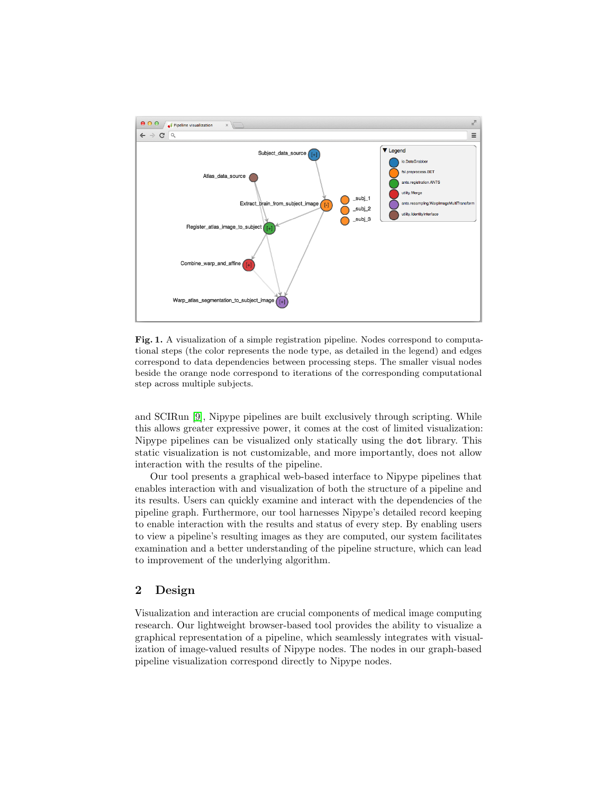

<span id="page-1-0"></span>Fig. 1. A visualization of a simple registration pipeline. Nodes correspond to computational steps (the color represents the node type, as detailed in the legend) and edges correspond to data dependencies between processing steps. The smaller visual nodes beside the orange node correspond to iterations of the corresponding computational step across multiple subjects.

and SCIRun [\[9\]](#page-4-5), Nipype pipelines are built exclusively through scripting. While this allows greater expressive power, it comes at the cost of limited visualization: Nipype pipelines can be visualized only statically using the dot library. This static visualization is not customizable, and more importantly, does not allow interaction with the results of the pipeline.

Our tool presents a graphical web-based interface to Nipype pipelines that enables interaction with and visualization of both the structure of a pipeline and its results. Users can quickly examine and interact with the dependencies of the pipeline graph. Furthermore, our tool harnesses Nipype's detailed record keeping to enable interaction with the results and status of every step. By enabling users to view a pipeline's resulting images as they are computed, our system facilitates examination and a better understanding of the pipeline structure, which can lead to improvement of the underlying algorithm.

# 2 Design

Visualization and interaction are crucial components of medical image computing research. Our lightweight browser-based tool provides the ability to visualize a graphical representation of a pipeline, which seamlessly integrates with visualization of image-valued results of Nipype nodes. The nodes in our graph-based pipeline visualization correspond directly to Nipype nodes.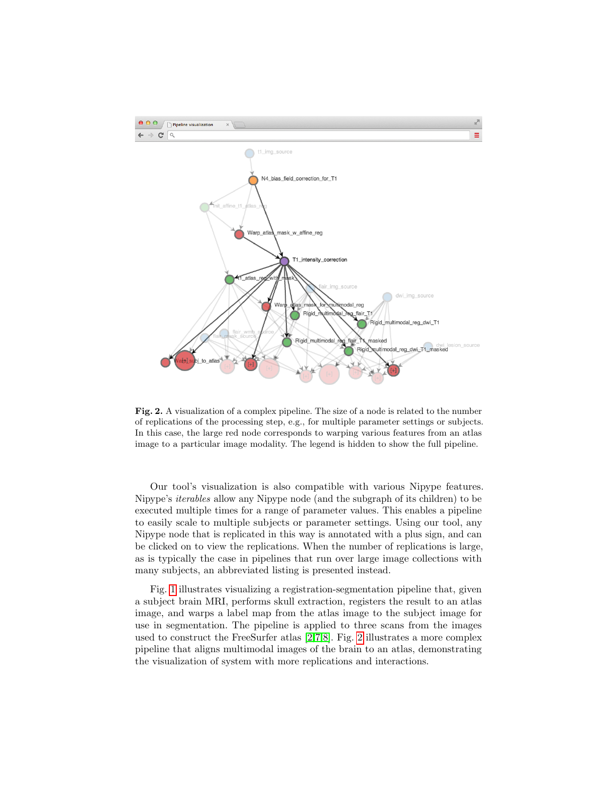

<span id="page-2-0"></span>Fig. 2. A visualization of a complex pipeline. The size of a node is related to the number of replications of the processing step, e.g., for multiple parameter settings or subjects. In this case, the large red node corresponds to warping various features from an atlas image to a particular image modality. The legend is hidden to show the full pipeline.

Our tool's visualization is also compatible with various Nipype features. Nipype's iterables allow any Nipype node (and the subgraph of its children) to be executed multiple times for a range of parameter values. This enables a pipeline to easily scale to multiple subjects or parameter settings. Using our tool, any Nipype node that is replicated in this way is annotated with a plus sign, and can be clicked on to view the replications. When the number of replications is large, as is typically the case in pipelines that run over large image collections with many subjects, an abbreviated listing is presented instead.

Fig. [1](#page-1-0) illustrates visualizing a registration-segmentation pipeline that, given a subject brain MRI, performs skull extraction, registers the result to an atlas image, and warps a label map from the atlas image to the subject image for use in segmentation. The pipeline is applied to three scans from the images used to construct the FreeSurfer atlas [\[2](#page-4-6)[,7](#page-4-7)[,8\]](#page-4-8). Fig. [2](#page-2-0) illustrates a more complex pipeline that aligns multimodal images of the brain to an atlas, demonstrating the visualization of system with more replications and interactions.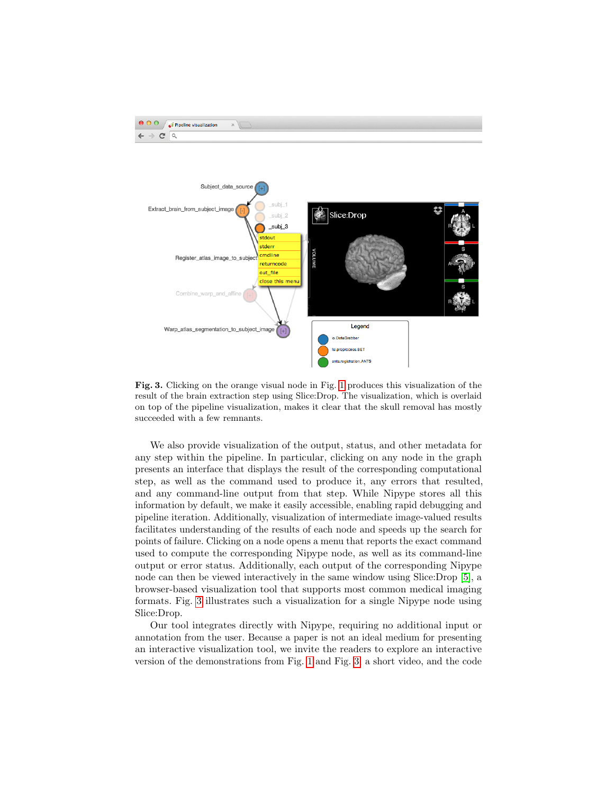



<span id="page-3-0"></span>Fig. 3. Clicking on the orange visual node in Fig. [1](#page-1-0) produces this visualization of the result of the brain extraction step using Slice:Drop. The visualization, which is overlaid on top of the pipeline visualization, makes it clear that the skull removal has mostly succeeded with a few remnants.

We also provide visualization of the output, status, and other metadata for any step within the pipeline. In particular, clicking on any node in the graph presents an interface that displays the result of the corresponding computational step, as well as the command used to produce it, any errors that resulted, and any command-line output from that step. While Nipype stores all this information by default, we make it easily accessible, enabling rapid debugging and pipeline iteration. Additionally, visualization of intermediate image-valued results facilitates understanding of the results of each node and speeds up the search for points of failure. Clicking on a node opens a menu that reports the exact command used to compute the corresponding Nipype node, as well as its command-line output or error status. Additionally, each output of the corresponding Nipype node can then be viewed interactively in the same window using Slice:Drop [\[5\]](#page-4-9), a browser-based visualization tool that supports most common medical imaging formats. Fig. [3](#page-3-0) illustrates such a visualization for a single Nipype node using Slice:Drop.

Our tool integrates directly with Nipype, requiring no additional input or annotation from the user. Because a paper is not an ideal medium for presenting an interactive visualization tool, we invite the readers to explore an interactive version of the demonstrations from Fig. [1](#page-1-0) and Fig. [3,](#page-3-0) a short video, and the code